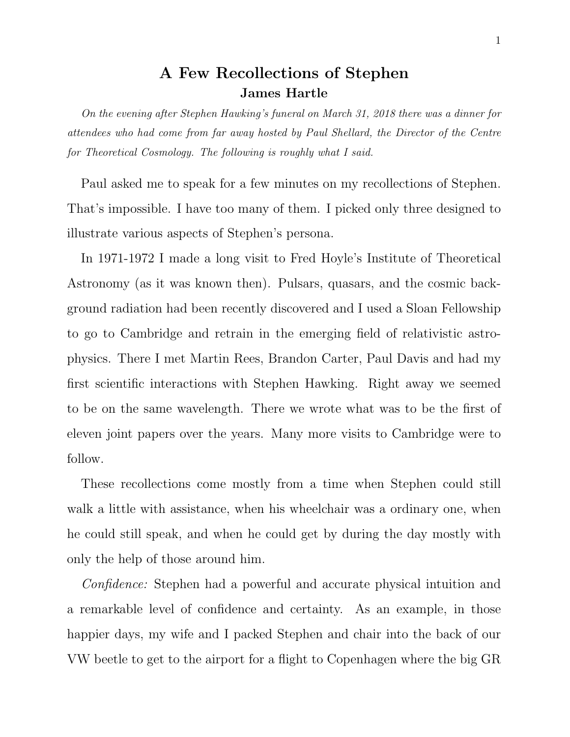## A Few Recollections of Stephen James Hartle

On the evening after Stephen Hawking's funeral on March 31, 2018 there was a dinner for attendees who had come from far away hosted by Paul Shellard, the Director of the Centre for Theoretical Cosmology. The following is roughly what I said.

Paul asked me to speak for a few minutes on my recollections of Stephen. That's impossible. I have too many of them. I picked only three designed to illustrate various aspects of Stephen's persona.

In 1971-1972 I made a long visit to Fred Hoyle's Institute of Theoretical Astronomy (as it was known then). Pulsars, quasars, and the cosmic background radiation had been recently discovered and I used a Sloan Fellowship to go to Cambridge and retrain in the emerging field of relativistic astrophysics. There I met Martin Rees, Brandon Carter, Paul Davis and had my first scientific interactions with Stephen Hawking. Right away we seemed to be on the same wavelength. There we wrote what was to be the first of eleven joint papers over the years. Many more visits to Cambridge were to follow.

These recollections come mostly from a time when Stephen could still walk a little with assistance, when his wheelchair was a ordinary one, when he could still speak, and when he could get by during the day mostly with only the help of those around him.

Confidence: Stephen had a powerful and accurate physical intuition and a remarkable level of confidence and certainty. As an example, in those happier days, my wife and I packed Stephen and chair into the back of our VW beetle to get to the airport for a flight to Copenhagen where the big GR